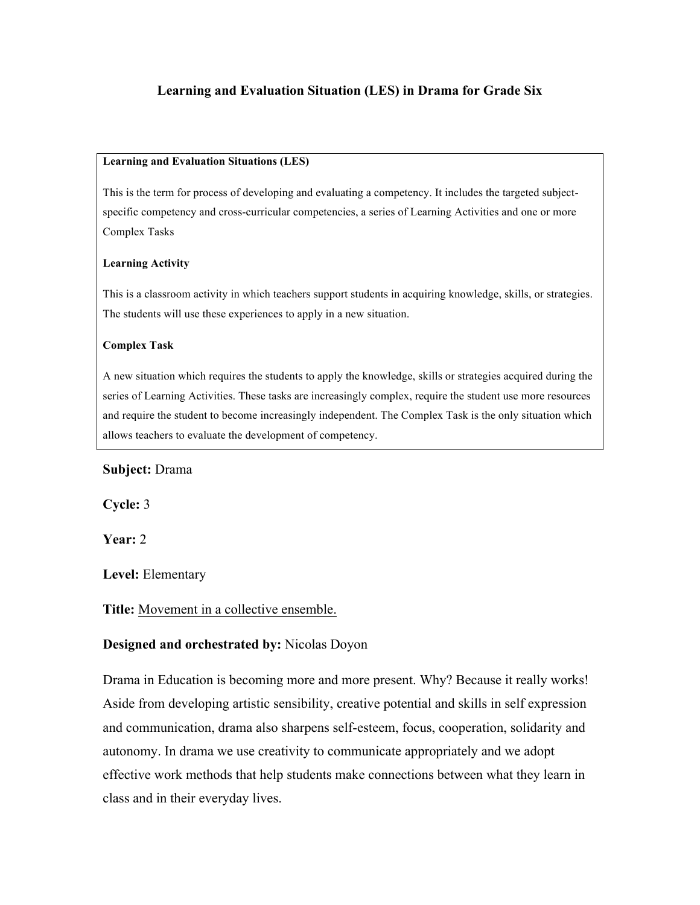## **Learning and Evaluation Situation (LES) in Drama for Grade Six**

#### **Learning and Evaluation Situations (LES)**

This is the term for process of developing and evaluating a competency. It includes the targeted subjectspecific competency and cross-curricular competencies, a series of Learning Activities and one or more Complex Tasks

#### **Learning Activity**

This is a classroom activity in which teachers support students in acquiring knowledge, skills, or strategies. The students will use these experiences to apply in a new situation.

#### **Complex Task**

A new situation which requires the students to apply the knowledge, skills or strategies acquired during the series of Learning Activities. These tasks are increasingly complex, require the student use more resources and require the student to become increasingly independent. The Complex Task is the only situation which allows teachers to evaluate the development of competency.

#### **Subject:** Drama

**Cycle:** 3

**Year:** 2

**Level:** Elementary

#### **Title:** Movement in a collective ensemble.

#### **Designed and orchestrated by:** Nicolas Doyon

Drama in Education is becoming more and more present. Why? Because it really works! Aside from developing artistic sensibility, creative potential and skills in self expression and communication, drama also sharpens self-esteem, focus, cooperation, solidarity and autonomy. In drama we use creativity to communicate appropriately and we adopt effective work methods that help students make connections between what they learn in class and in their everyday lives.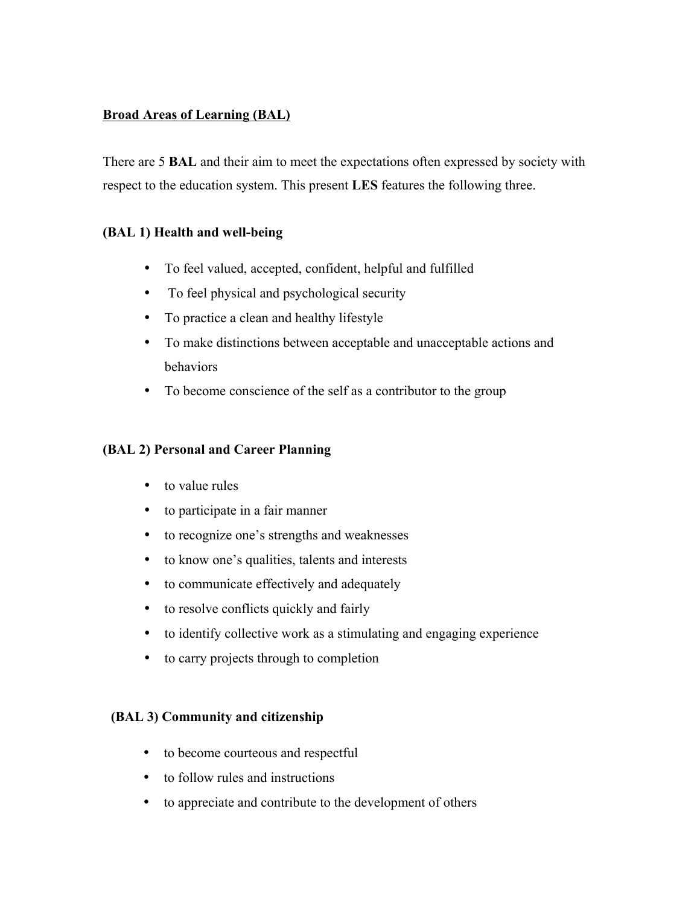# **Broad Areas of Learning (BAL)**

There are 5 **BAL** and their aim to meet the expectations often expressed by society with respect to the education system. This present **LES** features the following three.

# **(BAL 1) Health and well-being**

- To feel valued, accepted, confident, helpful and fulfilled
- To feel physical and psychological security
- To practice a clean and healthy lifestyle
- To make distinctions between acceptable and unacceptable actions and behaviors
- To become conscience of the self as a contributor to the group

## **(BAL 2) Personal and Career Planning**

- to value rules
- to participate in a fair manner
- to recognize one's strengths and weaknesses
- to know one's qualities, talents and interests
- to communicate effectively and adequately
- to resolve conflicts quickly and fairly
- to identify collective work as a stimulating and engaging experience
- to carry projects through to completion

## **(BAL 3) Community and citizenship**

- to become courteous and respectful
- to follow rules and instructions
- to appreciate and contribute to the development of others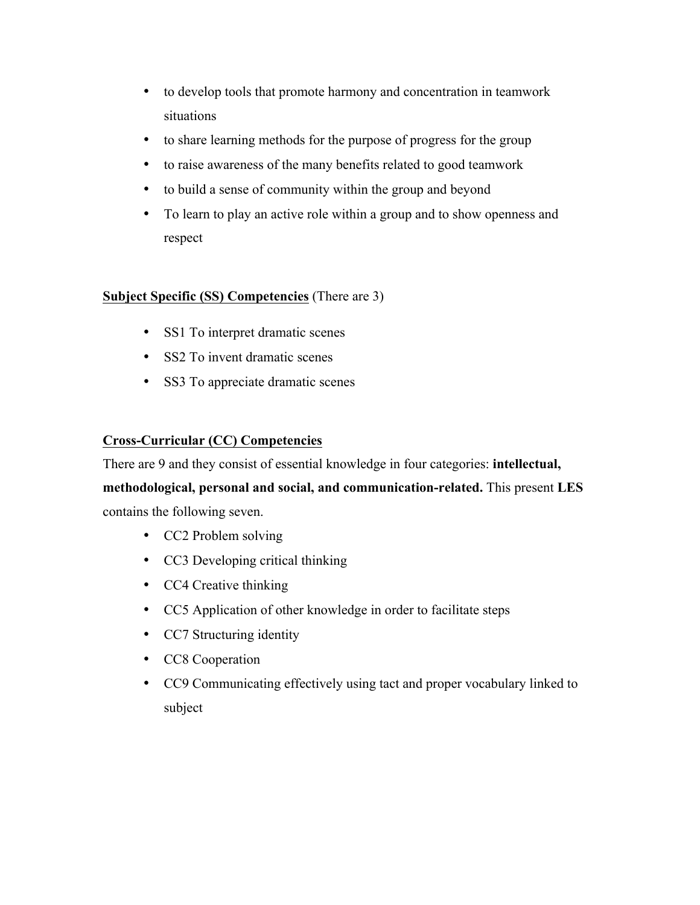- to develop tools that promote harmony and concentration in teamwork situations
- to share learning methods for the purpose of progress for the group
- to raise awareness of the many benefits related to good teamwork
- to build a sense of community within the group and beyond
- To learn to play an active role within a group and to show openness and respect

# **Subject Specific (SS) Competencies** (There are 3)

- SS1 To interpret dramatic scenes
- SS2 To invent dramatic scenes
- SS3 To appreciate dramatic scenes

# **Cross-Curricular (CC) Competencies**

There are 9 and they consist of essential knowledge in four categories: **intellectual, methodological, personal and social, and communication-related.** This present **LES** contains the following seven.

- CC2 Problem solving
- CC3 Developing critical thinking
- CC4 Creative thinking
- CC5 Application of other knowledge in order to facilitate steps
- CC7 Structuring identity
- CC8 Cooperation
- CC9 Communicating effectively using tact and proper vocabulary linked to subject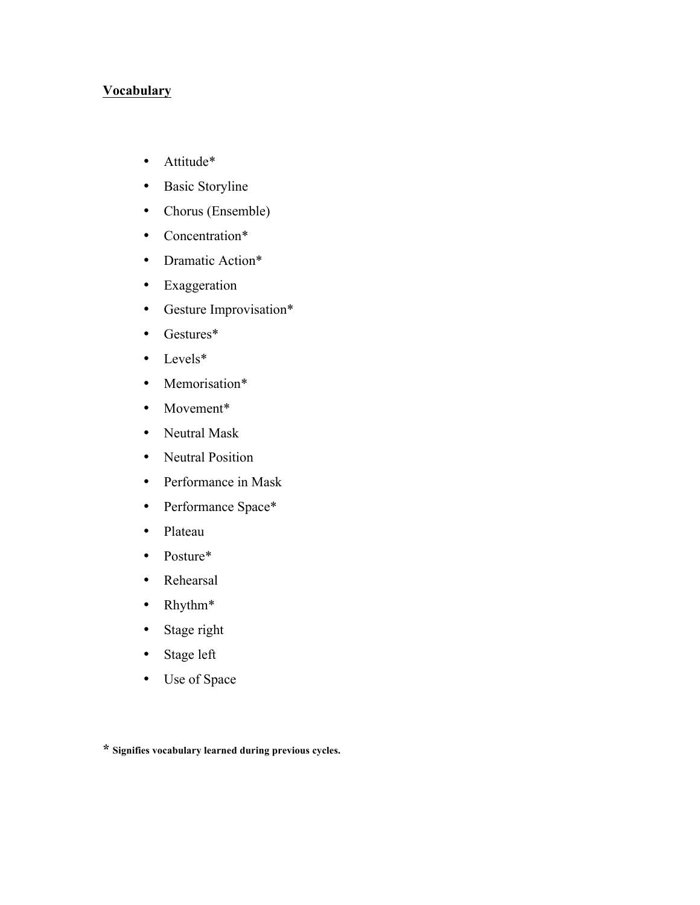## **Vocabulary**

- Attitude\*
- Basic Storyline
- Chorus (Ensemble)
- Concentration\*
- Dramatic Action\*
- Exaggeration
- Gesture Improvisation\*
- Gestures\*
- Levels\*
- Memorisation\*
- Movement\*
- Neutral Mask
- Neutral Position
- Performance in Mask
- Performance Space\*
- Plateau
- Posture\*
- Rehearsal
- Rhythm\*
- Stage right
- Stage left
- Use of Space

**\* Signifies vocabulary learned during previous cycles.**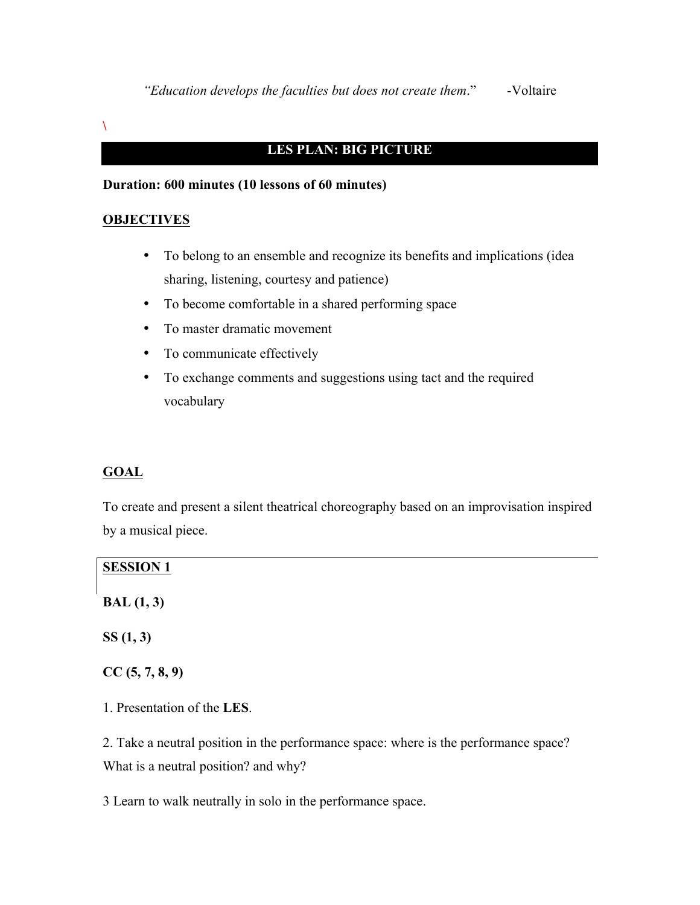**\**

# **LES PLAN: BIG PICTURE**

# **Duration: 600 minutes (10 lessons of 60 minutes)**

#### **OBJECTIVES**

- To belong to an ensemble and recognize its benefits and implications (idea sharing, listening, courtesy and patience)
- To become comfortable in a shared performing space
- To master dramatic movement
- To communicate effectively
- To exchange comments and suggestions using tact and the required vocabulary

### **GOAL**

To create and present a silent theatrical choreography based on an improvisation inspired by a musical piece.

| <b>SESSION 1</b>                                                                     |
|--------------------------------------------------------------------------------------|
| BAL(1, 3)                                                                            |
| SS(1, 3)                                                                             |
| CC(5, 7, 8, 9)                                                                       |
| 1. Presentation of the LES.                                                          |
| 2. Take a neutral position in the performance space: where is the performance space? |
| What is a neutral position? and why?                                                 |

3 Learn to walk neutrally in solo in the performance space.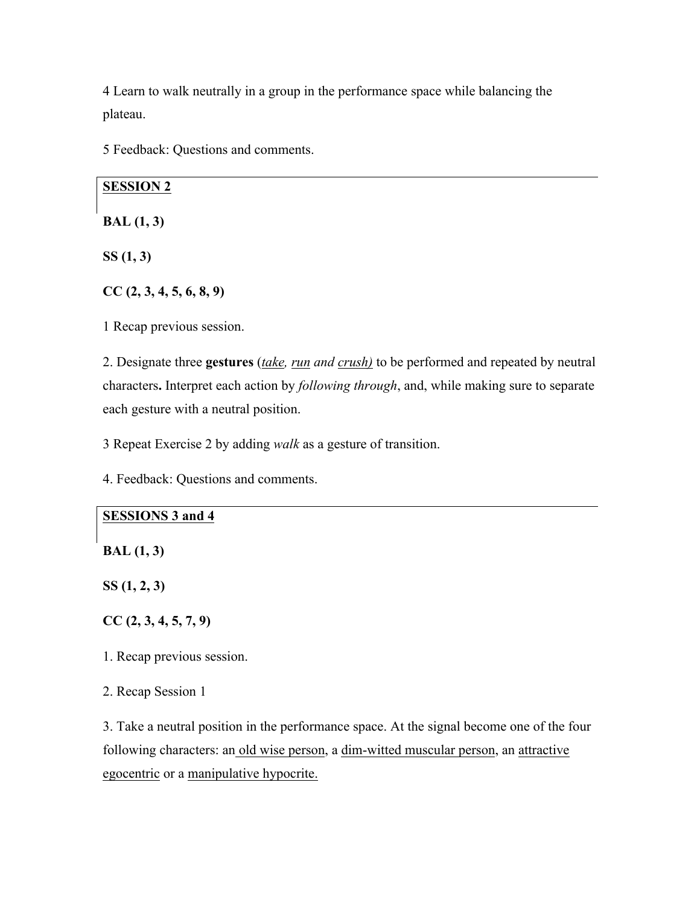4 Learn to walk neutrally in a group in the performance space while balancing the plateau.

5 Feedback: Questions and comments.

## **SESSION 2**

**BAL (1, 3)**

**SS (1, 3)**

**CC (2, 3, 4, 5, 6, 8, 9)**

1 Recap previous session.

2. Designate three **gestures** (*take, run and crush)* to be performed and repeated by neutral characters**.** Interpret each action by *following through*, and, while making sure to separate each gesture with a neutral position.

3 Repeat Exercise 2 by adding *walk* as a gesture of transition.

4. Feedback: Questions and comments.

### **SESSIONS 3 and 4**

**BAL (1, 3)**

**SS (1, 2, 3)**

**CC (2, 3, 4, 5, 7, 9)**

1. Recap previous session.

2. Recap Session 1

3. Take a neutral position in the performance space. At the signal become one of the four following characters: an old wise person, a dim-witted muscular person, an attractive egocentric or a manipulative hypocrite.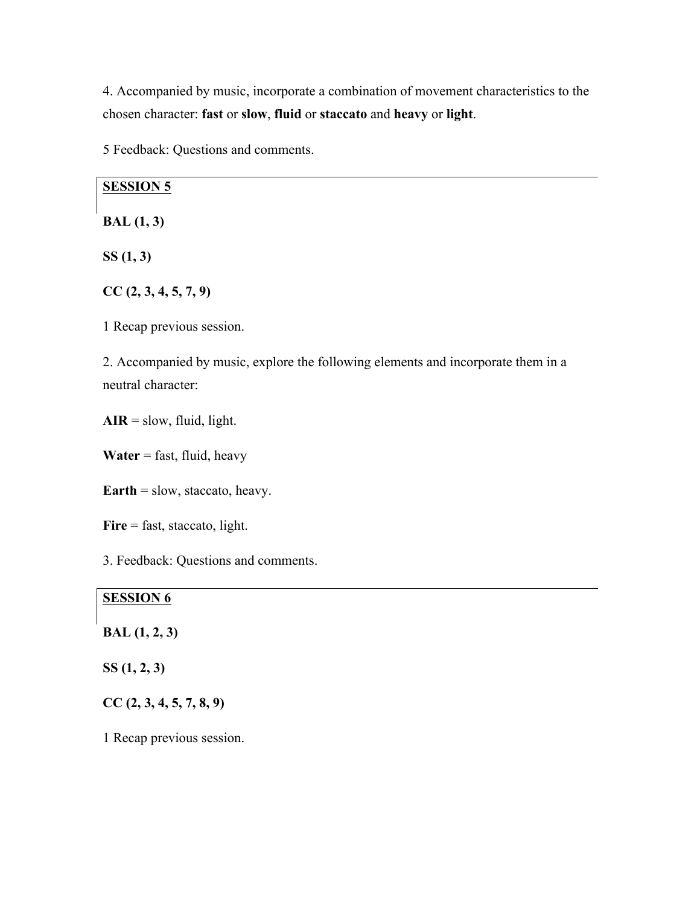4. Accompanied by music, incorporate a combination of movement characteristics to the chosen character: **fast** or **slow**, **fluid** or **staccato** and **heavy** or **light**.

5 Feedback: Questions and comments.

#### **SESSION 5**

**BAL (1, 3)**

**SS (1, 3)**

**CC (2, 3, 4, 5, 7, 9)**

1 Recap previous session.

2. Accompanied by music, explore the following elements and incorporate them in a neutral character:

 $\mathbf{AIR} = \text{slow}, \text{fluid}, \text{light}.$ 

**Water** = fast, fluid, heavy

**Earth** = slow, staccato, heavy.

Fire = fast, staccato, light.

3. Feedback: Questions and comments.

## **SESSION 6**

#### **BAL (1, 2, 3)**

**SS (1, 2, 3)**

**CC (2, 3, 4, 5, 7, 8, 9)**

1 Recap previous session.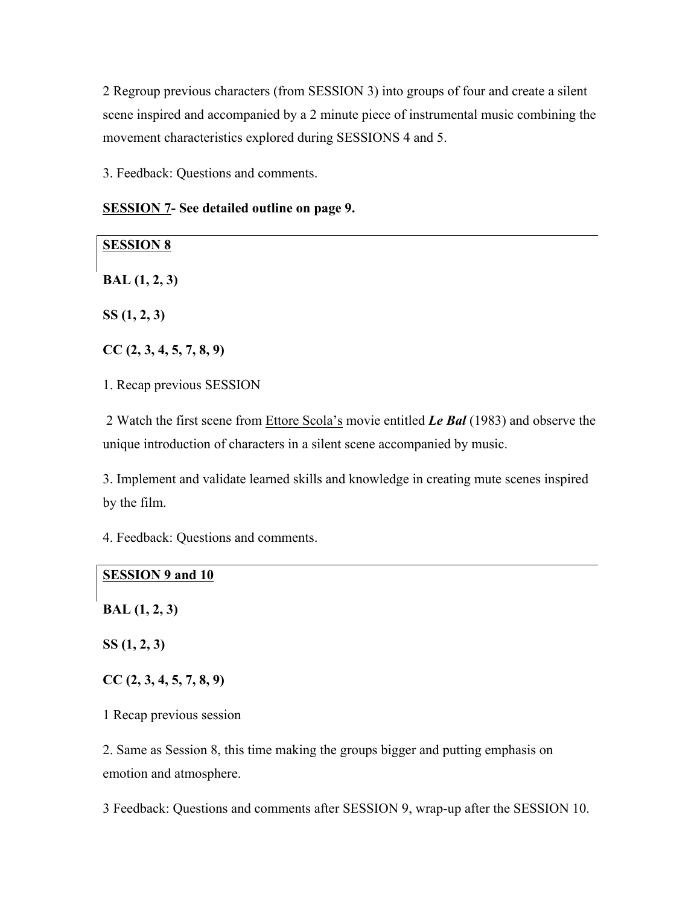2 Regroup previous characters (from SESSION 3) into groups of four and create a silent scene inspired and accompanied by a 2 minute piece of instrumental music combining the movement characteristics explored during SESSIONS 4 and 5.

3. Feedback: Questions and comments.

| <b>SESSION 7- See detailed outline on page 9.</b> |  |  |
|---------------------------------------------------|--|--|
|---------------------------------------------------|--|--|

| <b>SESSION 8</b>                                                                                                                                                      |
|-----------------------------------------------------------------------------------------------------------------------------------------------------------------------|
| BAL(1, 2, 3)                                                                                                                                                          |
| SS(1, 2, 3)                                                                                                                                                           |
| CC(2, 3, 4, 5, 7, 8, 9)                                                                                                                                               |
| 1. Recap previous SESSION                                                                                                                                             |
| 2 Watch the first scene from Ettore Scola's movie entitled Le Bal (1983) and observe the<br>unique introduction of characters in a silent scene accompanied by music. |

3. Implement and validate learned skills and knowledge in creating mute scenes inspired by the film.

4. Feedback: Questions and comments.

# **SESSION 9 and 10**

**BAL (1, 2, 3)**

**SS (1, 2, 3)**

**CC (2, 3, 4, 5, 7, 8, 9)**

1 Recap previous session

2. Same as Session 8, this time making the groups bigger and putting emphasis on emotion and atmosphere.

3 Feedback: Questions and comments after SESSION 9, wrap-up after the SESSION 10.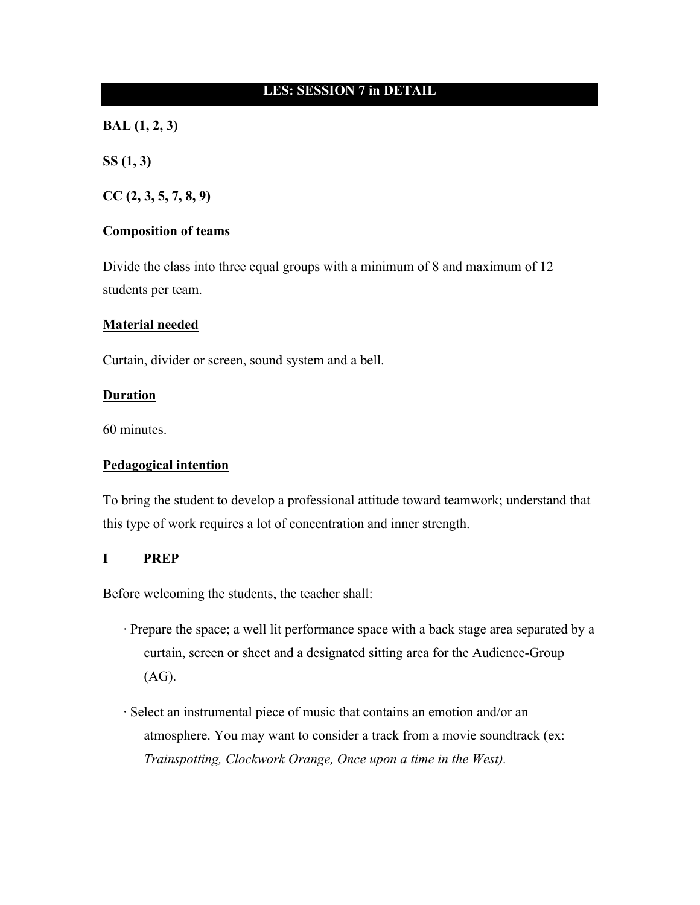## **LES: SESSION 7 in DETAIL**

**BAL (1, 2, 3)**

**SS (1, 3)**

**CC (2, 3, 5, 7, 8, 9)**

#### **Composition of teams**

Divide the class into three equal groups with a minimum of 8 and maximum of 12 students per team.

#### **Material needed**

Curtain, divider or screen, sound system and a bell.

#### **Duration**

60 minutes.

### **Pedagogical intention**

To bring the student to develop a professional attitude toward teamwork; understand that this type of work requires a lot of concentration and inner strength.

#### **I PREP**

Before welcoming the students, the teacher shall:

- · Prepare the space; a well lit performance space with a back stage area separated by a curtain, screen or sheet and a designated sitting area for the Audience-Group (AG).
- · Select an instrumental piece of music that contains an emotion and/or an atmosphere. You may want to consider a track from a movie soundtrack (ex: *Trainspotting, Clockwork Orange, Once upon a time in the West).*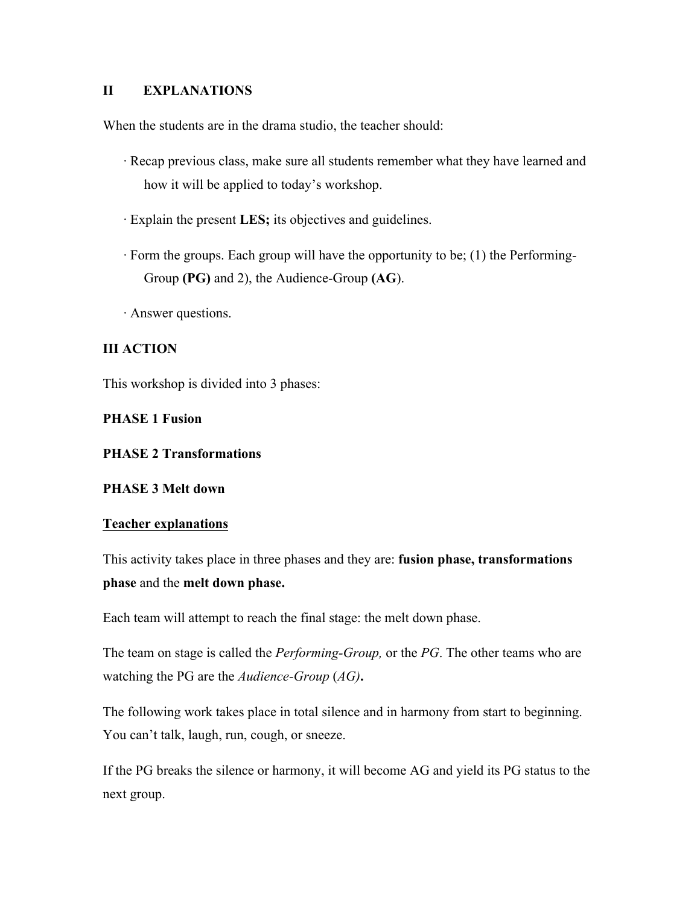## **II EXPLANATIONS**

When the students are in the drama studio, the teacher should:

- · Recap previous class, make sure all students remember what they have learned and how it will be applied to today's workshop.
- · Explain the present **LES;** its objectives and guidelines.
- · Form the groups. Each group will have the opportunity to be; (1) the Performing-Group **(PG)** and 2), the Audience-Group **(AG**).
- · Answer questions.

# **III ACTION**

This workshop is divided into 3 phases:

## **PHASE 1 Fusion**

## **PHASE 2 Transformations**

### **PHASE 3 Melt down**

### **Teacher explanations**

This activity takes place in three phases and they are: **fusion phase, transformations phase** and the **melt down phase.**

Each team will attempt to reach the final stage: the melt down phase.

The team on stage is called the *Performing-Group,* or the *PG*. The other teams who are watching the PG are the *Audience-Group* (*AG)***.**

The following work takes place in total silence and in harmony from start to beginning. You can't talk, laugh, run, cough, or sneeze.

If the PG breaks the silence or harmony, it will become AG and yield its PG status to the next group.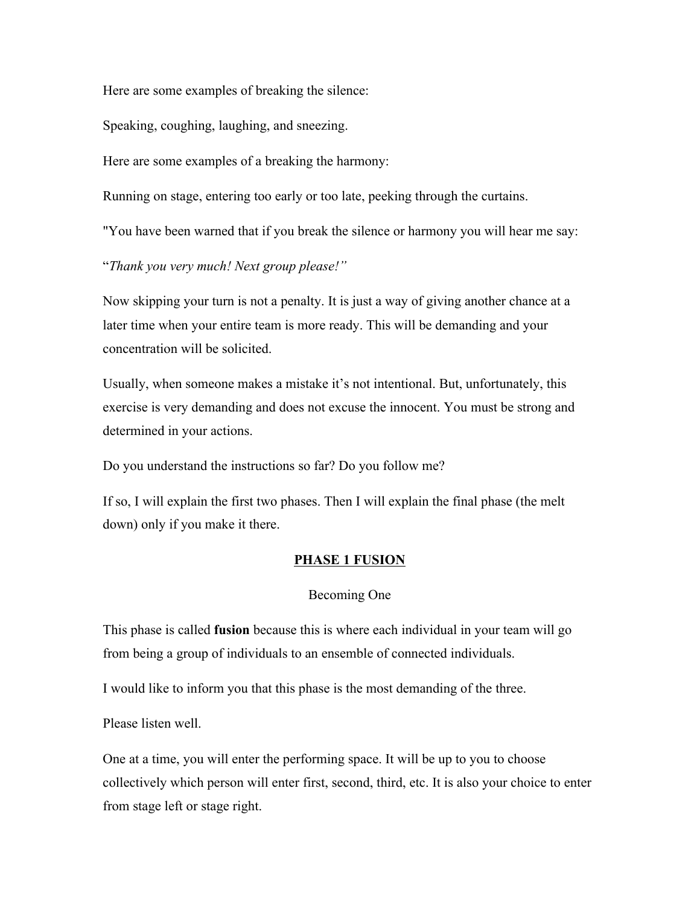Here are some examples of breaking the silence:

Speaking, coughing, laughing, and sneezing.

Here are some examples of a breaking the harmony:

Running on stage, entering too early or too late, peeking through the curtains.

"You have been warned that if you break the silence or harmony you will hear me say:

"*Thank you very much! Next group please!"*

Now skipping your turn is not a penalty. It is just a way of giving another chance at a later time when your entire team is more ready. This will be demanding and your concentration will be solicited.

Usually, when someone makes a mistake it's not intentional. But, unfortunately, this exercise is very demanding and does not excuse the innocent. You must be strong and determined in your actions.

Do you understand the instructions so far? Do you follow me?

If so, I will explain the first two phases. Then I will explain the final phase (the melt down) only if you make it there.

### **PHASE 1 FUSION**

#### Becoming One

This phase is called **fusion** because this is where each individual in your team will go from being a group of individuals to an ensemble of connected individuals.

I would like to inform you that this phase is the most demanding of the three.

Please listen well.

One at a time, you will enter the performing space. It will be up to you to choose collectively which person will enter first, second, third, etc. It is also your choice to enter from stage left or stage right.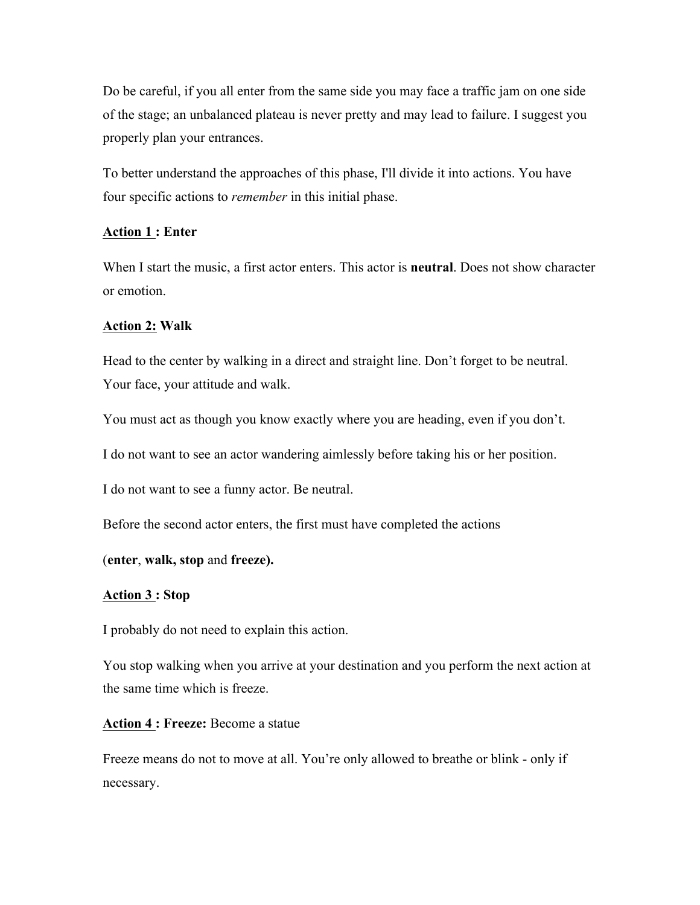Do be careful, if you all enter from the same side you may face a traffic jam on one side of the stage; an unbalanced plateau is never pretty and may lead to failure. I suggest you properly plan your entrances.

To better understand the approaches of this phase, I'll divide it into actions. You have four specific actions to *remember* in this initial phase.

### **Action 1 : Enter**

When I start the music, a first actor enters. This actor is **neutral**. Does not show character or emotion.

#### **Action 2: Walk**

Head to the center by walking in a direct and straight line. Don't forget to be neutral. Your face, your attitude and walk.

You must act as though you know exactly where you are heading, even if you don't.

I do not want to see an actor wandering aimlessly before taking his or her position.

I do not want to see a funny actor. Be neutral.

Before the second actor enters, the first must have completed the actions

#### (**enter**, **walk, stop** and **freeze).**

#### **Action 3 : Stop**

I probably do not need to explain this action.

You stop walking when you arrive at your destination and you perform the next action at the same time which is freeze.

#### **Action 4 : Freeze:** Become a statue

Freeze means do not to move at all. You're only allowed to breathe or blink - only if necessary.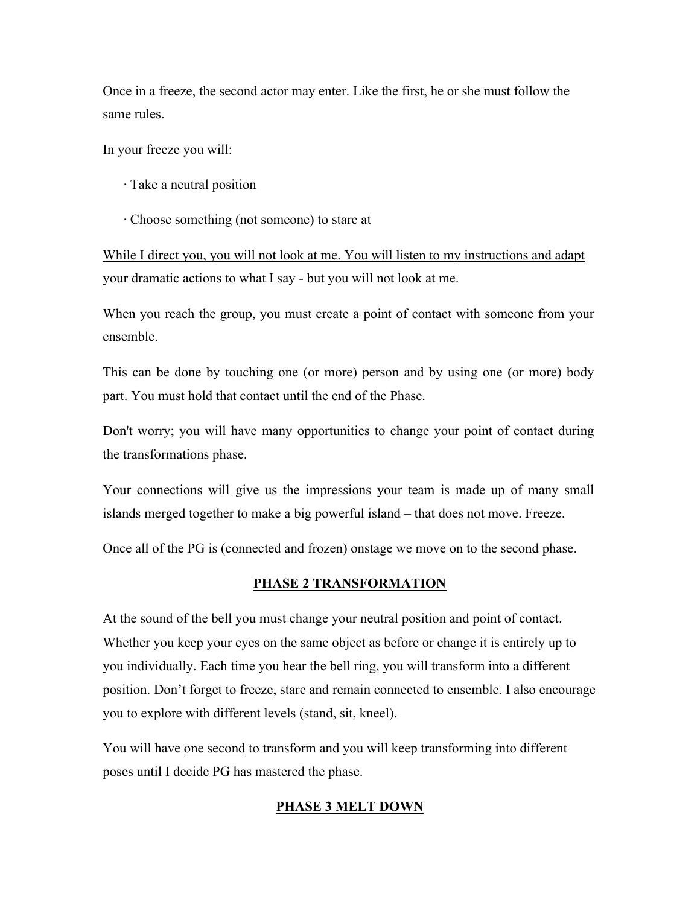Once in a freeze, the second actor may enter. Like the first, he or she must follow the same rules.

In your freeze you will:

- · Take a neutral position
- · Choose something (not someone) to stare at

While I direct you, you will not look at me. You will listen to my instructions and adapt your dramatic actions to what I say - but you will not look at me.

When you reach the group, you must create a point of contact with someone from your ensemble.

This can be done by touching one (or more) person and by using one (or more) body part. You must hold that contact until the end of the Phase.

Don't worry; you will have many opportunities to change your point of contact during the transformations phase.

Your connections will give us the impressions your team is made up of many small islands merged together to make a big powerful island – that does not move. Freeze.

Once all of the PG is (connected and frozen) onstage we move on to the second phase.

### **PHASE 2 TRANSFORMATION**

At the sound of the bell you must change your neutral position and point of contact. Whether you keep your eyes on the same object as before or change it is entirely up to you individually. Each time you hear the bell ring, you will transform into a different position. Don't forget to freeze, stare and remain connected to ensemble. I also encourage you to explore with different levels (stand, sit, kneel).

You will have one second to transform and you will keep transforming into different poses until I decide PG has mastered the phase.

#### **PHASE 3 MELT DOWN**